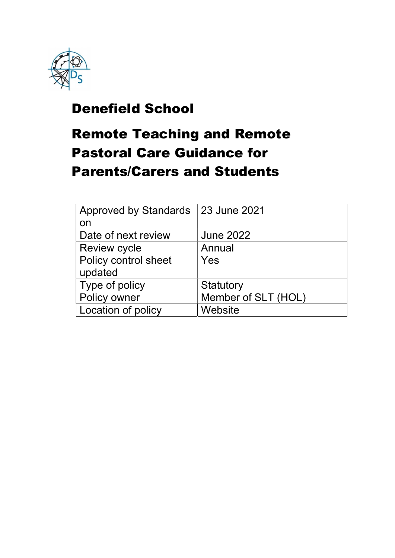

## Denefield School

# Remote Teaching and Remote Pastoral Care Guidance for Parents/Carers and Students

| <b>Approved by Standards</b> | <b>123 June 2021</b> |
|------------------------------|----------------------|
| on                           |                      |
| Date of next review          | <b>June 2022</b>     |
| <b>Review cycle</b>          | Annual               |
| Policy control sheet         | Yes                  |
| updated                      |                      |
| Type of policy               | Statutory            |
| Policy owner                 | Member of SLT (HOL)  |
| Location of policy           | Website              |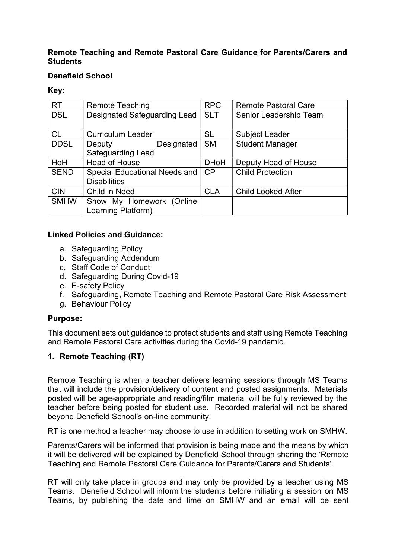#### Remote Teaching and Remote Pastoral Care Guidance for Parents/Carers and **Students**

#### Denefield School

#### Key:

| <b>RT</b>   | <b>Remote Teaching</b>               | <b>RPC</b>  | <b>Remote Pastoral Care</b> |
|-------------|--------------------------------------|-------------|-----------------------------|
| <b>DSL</b>  | Designated Safeguarding Lead         | <b>SLT</b>  | Senior Leadership Team      |
|             |                                      |             |                             |
| <b>CL</b>   | <b>Curriculum Leader</b>             | <b>SL</b>   | <b>Subject Leader</b>       |
| <b>DDSL</b> | Designated<br>Deputy                 | <b>SM</b>   | <b>Student Manager</b>      |
|             | <b>Safeguarding Lead</b>             |             |                             |
| HoH         | <b>Head of House</b>                 | <b>DHoH</b> | Deputy Head of House        |
| <b>SEND</b> | <b>Special Educational Needs and</b> | CP          | <b>Child Protection</b>     |
|             | <b>Disabilities</b>                  |             |                             |
| <b>CIN</b>  | Child in Need                        | <b>CLA</b>  | <b>Child Looked After</b>   |
| <b>SMHW</b> | Show My Homework (Online             |             |                             |
|             | Learning Platform)                   |             |                             |

#### Linked Policies and Guidance:

- a. Safeguarding Policy
- b. Safeguarding Addendum
- c. Staff Code of Conduct
- d. Safeguarding During Covid-19
- e. E-safety Policy
- f. Safeguarding, Remote Teaching and Remote Pastoral Care Risk Assessment
- g. Behaviour Policy

#### Purpose:

This document sets out guidance to protect students and staff using Remote Teaching and Remote Pastoral Care activities during the Covid-19 pandemic.

#### 1. Remote Teaching (RT)

Remote Teaching is when a teacher delivers learning sessions through MS Teams that will include the provision/delivery of content and posted assignments. Materials posted will be age-appropriate and reading/film material will be fully reviewed by the teacher before being posted for student use. Recorded material will not be shared beyond Denefield School's on-line community.

RT is one method a teacher may choose to use in addition to setting work on SMHW.

Parents/Carers will be informed that provision is being made and the means by which it will be delivered will be explained by Denefield School through sharing the 'Remote Teaching and Remote Pastoral Care Guidance for Parents/Carers and Students'.

RT will only take place in groups and may only be provided by a teacher using MS Teams. Denefield School will inform the students before initiating a session on MS Teams, by publishing the date and time on SMHW and an email will be sent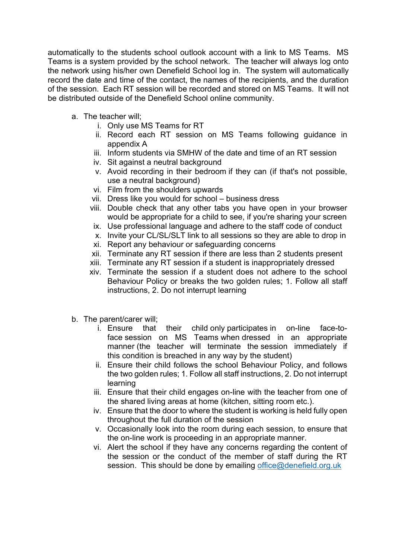automatically to the students school outlook account with a link to MS Teams. MS Teams is a system provided by the school network. The teacher will always log onto the network using his/her own Denefield School log in. The system will automatically record the date and time of the contact, the names of the recipients, and the duration of the session. Each RT session will be recorded and stored on MS Teams. It will not be distributed outside of the Denefield School online community.

- a. The teacher will;
	- i. Only use MS Teams for RT
	- ii. Record each RT session on MS Teams following guidance in appendix A
	- iii. Inform students via SMHW of the date and time of an RT session
	- iv. Sit against a neutral background
	- v. Avoid recording in their bedroom if they can (if that's not possible, use a neutral background)
	- vi. Film from the shoulders upwards
	- vii. Dress like you would for school business dress
	- viii. Double check that any other tabs you have open in your browser would be appropriate for a child to see, if you're sharing your screen
	- ix. Use professional language and adhere to the staff code of conduct
	- x. Invite your CL/SL/SLT link to all sessions so they are able to drop in
	- xi. Report any behaviour or safeguarding concerns
	- xii. Terminate any RT session if there are less than 2 students present
	- xiii. Terminate any RT session if a student is inappropriately dressed
	- xiv. Terminate the session if a student does not adhere to the school Behaviour Policy or breaks the two golden rules; 1. Follow all staff instructions, 2. Do not interrupt learning
- b. The parent/carer will;
	- i. Ensure that their child only participates in on-line face-toface session on MS Teams when dressed in an appropriate manner (the teacher will terminate the session immediately if this condition is breached in any way by the student)
	- ii. Ensure their child follows the school Behaviour Policy, and follows the two golden rules; 1. Follow all staff instructions, 2. Do not interrupt learning
	- iii. Ensure that their child engages on-line with the teacher from one of the shared living areas at home (kitchen, sitting room etc.).
	- iv. Ensure that the door to where the student is working is held fully open throughout the full duration of the session
	- v. Occasionally look into the room during each session, to ensure that the on-line work is proceeding in an appropriate manner.
	- vi. Alert the school if they have any concerns regarding the content of the session or the conduct of the member of staff during the RT session. This should be done by emailing office@denefield.org.uk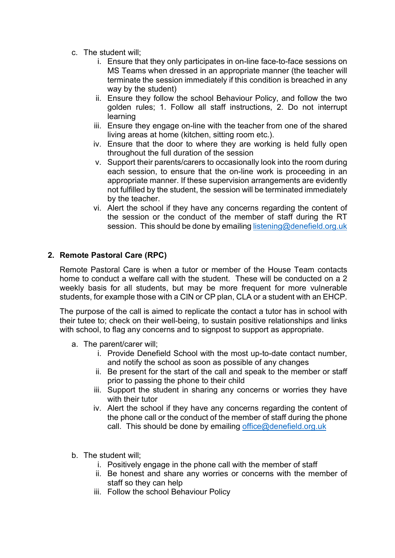- c. The student will;
	- i. Ensure that they only participates in on-line face-to-face sessions on MS Teams when dressed in an appropriate manner (the teacher will terminate the session immediately if this condition is breached in any way by the student)
	- ii. Ensure they follow the school Behaviour Policy, and follow the two golden rules; 1. Follow all staff instructions, 2. Do not interrupt learning
	- iii. Ensure they engage on-line with the teacher from one of the shared living areas at home (kitchen, sitting room etc.).
	- iv. Ensure that the door to where they are working is held fully open throughout the full duration of the session
	- v. Support their parents/carers to occasionally look into the room during each session, to ensure that the on-line work is proceeding in an appropriate manner. If these supervision arrangements are evidently not fulfilled by the student, the session will be terminated immediately by the teacher.
	- vi. Alert the school if they have any concerns regarding the content of the session or the conduct of the member of staff during the RT session. This should be done by emailing listening@denefield.org.uk

### 2. Remote Pastoral Care (RPC)

Remote Pastoral Care is when a tutor or member of the House Team contacts home to conduct a welfare call with the student. These will be conducted on a 2 weekly basis for all students, but may be more frequent for more vulnerable students, for example those with a CIN or CP plan, CLA or a student with an EHCP.

The purpose of the call is aimed to replicate the contact a tutor has in school with their tutee to; check on their well-being, to sustain positive relationships and links with school, to flag any concerns and to signpost to support as appropriate.

- a. The parent/carer will;
	- i. Provide Denefield School with the most up-to-date contact number, and notify the school as soon as possible of any changes
	- ii. Be present for the start of the call and speak to the member or staff prior to passing the phone to their child
	- iii. Support the student in sharing any concerns or worries they have with their tutor
	- iv. Alert the school if they have any concerns regarding the content of the phone call or the conduct of the member of staff during the phone call. This should be done by emailing office@denefield.org.uk
- b. The student will;
	- i. Positively engage in the phone call with the member of staff
	- ii. Be honest and share any worries or concerns with the member of staff so they can help
	- iii. Follow the school Behaviour Policy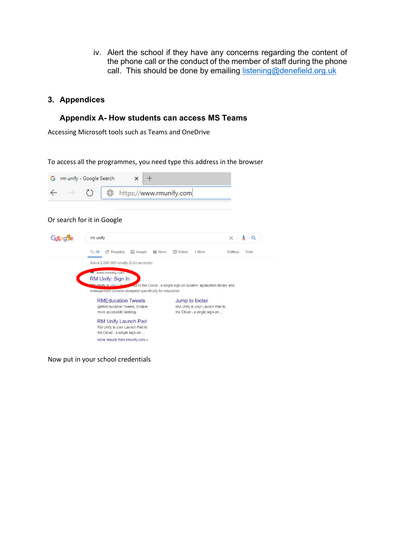iv. Alert the school if they have any concerns regarding the content of the phone call or the conduct of the member of staff during the phone call. This should be done by emailing listening@denefield.org.uk

#### 3. Appendices

#### Appendix A- How students can access MS Teams

Accessing Microsoft tools such as Teams and OneDrive

To access all the programmes, you need type this address in the browser



#### Or search for it in Google

| rm unify                                                                                              | $\times$                       |                   |  |  |  |  |
|-------------------------------------------------------------------------------------------------------|--------------------------------|-------------------|--|--|--|--|
| $Q$ All<br><b>图 News</b><br>$O$ Shopping<br>$\Box$ Images                                             | ID Videos<br>: More            | Tools<br>Settings |  |  |  |  |
| About 2,090,000 results (0.24 seconds)                                                                |                                |                   |  |  |  |  |
| www.rmunify.com                                                                                       |                                |                   |  |  |  |  |
| RM Unify: Sign In                                                                                     |                                |                   |  |  |  |  |
| <b>BM Unify is your Lawsent</b><br>ad to the Cloud - a single sign-on system, application library and |                                |                   |  |  |  |  |
| management console designed specifically for education.                                               |                                |                   |  |  |  |  |
| <b>RMEducation Tweets</b>                                                                             | Jump to footer                 |                   |  |  |  |  |
| @RMEducation Tweets. Enable                                                                           | RM Unify is your Launch Pad to |                   |  |  |  |  |
| more accessible tabbing.                                                                              | the Cloud - a single sign-on   |                   |  |  |  |  |
| <b>RM Unify Launch Pad</b>                                                                            |                                |                   |  |  |  |  |
| RM Unify is your Launch Pad to                                                                        |                                |                   |  |  |  |  |
| the Cloud - a single sign-on                                                                          |                                |                   |  |  |  |  |
| More results from rmunify.com »                                                                       |                                |                   |  |  |  |  |
|                                                                                                       |                                |                   |  |  |  |  |

Now put in your school credentials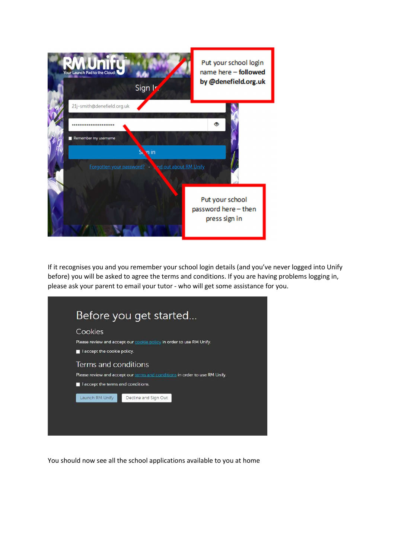

If it recognises you and you remember your school login details (and you've never logged into Unify before) you will be asked to agree the terms and conditions. If you are having problems logging in, please ask your parent to email your tutor - who will get some assistance for you.



You should now see all the school applications available to you at home